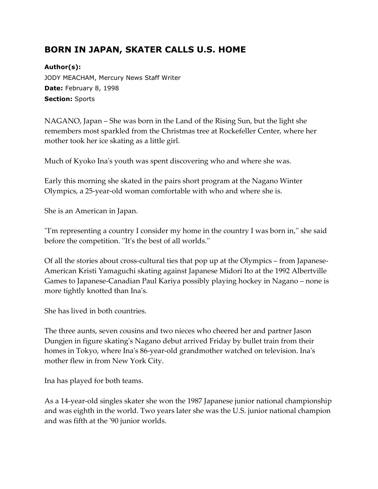## **BORN IN JAPAN, SKATER CALLS U.S. HOME**

## **Author(s):**

JODY MEACHAM, Mercury News Staff Writer **Date:** February 8, 1998 **Section:** Sports

NAGANO, Japan – She was born in the Land of the Rising Sun, but the light she remembers most sparkled from the Christmas tree at Rockefeller Center, where her mother took her ice skating as a little girl.

Much of Kyoko Ina's youth was spent discovering who and where she was.

Early this morning she skated in the pairs short program at the Nagano Winter Olympics, a 25-year-old woman comfortable with who and where she is.

She is an American in Japan.

''I'm representing a country I consider my home in the country I was born in,'' she said before the competition. ''It's the best of all worlds.''

Of all the stories about cross-cultural ties that pop up at the Olympics – from Japanese-American Kristi Yamaguchi skating against Japanese Midori Ito at the 1992 Albertville Games to Japanese-Canadian Paul Kariya possibly playing hockey in Nagano – none is more tightly knotted than Ina's.

She has lived in both countries.

The three aunts, seven cousins and two nieces who cheered her and partner Jason Dungjen in figure skating's Nagano debut arrived Friday by bullet train from their homes in Tokyo, where Ina's 86-year-old grandmother watched on television. Ina's mother flew in from New York City.

Ina has played for both teams.

As a 14-year-old singles skater she won the 1987 Japanese junior national championship and was eighth in the world. Two years later she was the U.S. junior national champion and was fifth at the '90 junior worlds.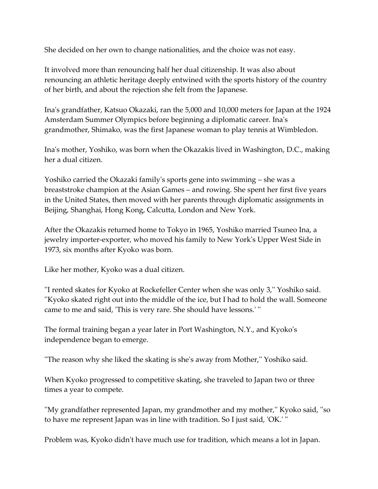She decided on her own to change nationalities, and the choice was not easy.

It involved more than renouncing half her dual citizenship. It was also about renouncing an athletic heritage deeply entwined with the sports history of the country of her birth, and about the rejection she felt from the Japanese.

Ina's grandfather, Katsuo Okazaki, ran the 5,000 and 10,000 meters for Japan at the 1924 Amsterdam Summer Olympics before beginning a diplomatic career. Ina's grandmother, Shimako, was the first Japanese woman to play tennis at Wimbledon.

Ina's mother, Yoshiko, was born when the Okazakis lived in Washington, D.C., making her a dual citizen.

Yoshiko carried the Okazaki family's sports gene into swimming – she was a breaststroke champion at the Asian Games – and rowing. She spent her first five years in the United States, then moved with her parents through diplomatic assignments in Beijing, Shanghai, Hong Kong, Calcutta, London and New York.

After the Okazakis returned home to Tokyo in 1965, Yoshiko married Tsuneo Ina, a jewelry importer-exporter, who moved his family to New York's Upper West Side in 1973, six months after Kyoko was born.

Like her mother, Kyoko was a dual citizen.

''I rented skates for Kyoko at Rockefeller Center when she was only 3,'' Yoshiko said. ''Kyoko skated right out into the middle of the ice, but I had to hold the wall. Someone came to me and said, 'This is very rare. She should have lessons.' ''

The formal training began a year later in Port Washington, N.Y., and Kyoko's independence began to emerge.

''The reason why she liked the skating is she's away from Mother,'' Yoshiko said.

When Kyoko progressed to competitive skating, she traveled to Japan two or three times a year to compete.

''My grandfather represented Japan, my grandmother and my mother,'' Kyoko said, ''so to have me represent Japan was in line with tradition. So I just said, 'OK.' ''

Problem was, Kyoko didn't have much use for tradition, which means a lot in Japan.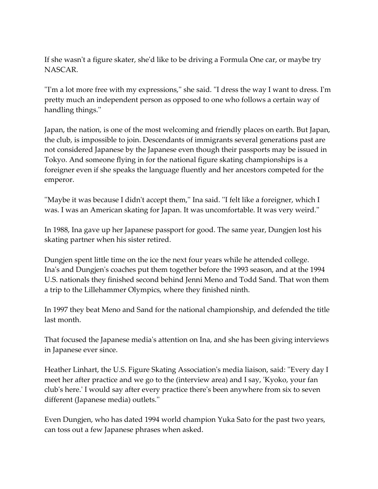If she wasn't a figure skater, she'd like to be driving a Formula One car, or maybe try NASCAR.

''I'm a lot more free with my expressions,'' she said. ''I dress the way I want to dress. I'm pretty much an independent person as opposed to one who follows a certain way of handling things.''

Japan, the nation, is one of the most welcoming and friendly places on earth. But Japan, the club, is impossible to join. Descendants of immigrants several generations past are not considered Japanese by the Japanese even though their passports may be issued in Tokyo. And someone flying in for the national figure skating championships is a foreigner even if she speaks the language fluently and her ancestors competed for the emperor.

''Maybe it was because I didn't accept them,'' Ina said. ''I felt like a foreigner, which I was. I was an American skating for Japan. It was uncomfortable. It was very weird.''

In 1988, Ina gave up her Japanese passport for good. The same year, Dungjen lost his skating partner when his sister retired.

Dungjen spent little time on the ice the next four years while he attended college. Ina's and Dungjen's coaches put them together before the 1993 season, and at the 1994 U.S. nationals they finished second behind Jenni Meno and Todd Sand. That won them a trip to the Lillehammer Olympics, where they finished ninth.

In 1997 they beat Meno and Sand for the national championship, and defended the title last month.

That focused the Japanese media's attention on Ina, and she has been giving interviews in Japanese ever since.

Heather Linhart, the U.S. Figure Skating Association's media liaison, said: ''Every day I meet her after practice and we go to the (interview area) and I say, 'Kyoko, your fan club's here.' I would say after every practice there's been anywhere from six to seven different (Japanese media) outlets.''

Even Dungjen, who has dated 1994 world champion Yuka Sato for the past two years, can toss out a few Japanese phrases when asked.